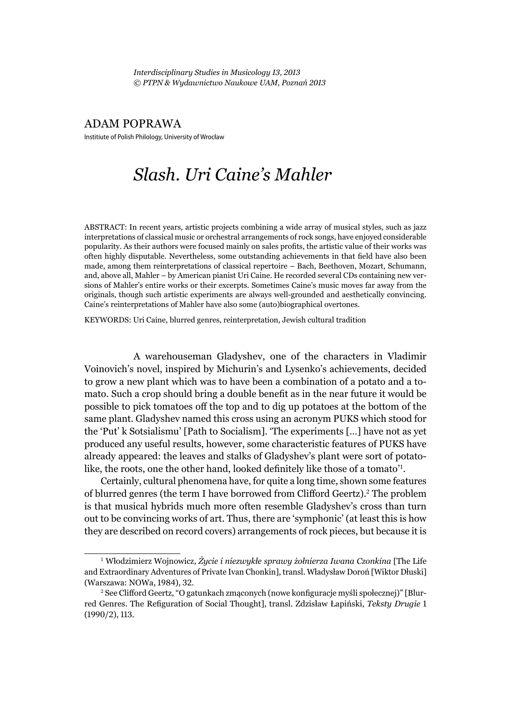*Interdisciplinary Studies in Musicology 13, 2013 © PTPN & Wydawnictwo Naukowe UAM, Poznań 2013*

## ADAM POPRAWA

Institiute of Polish Philology, University of Wrocław

## *Slash. Uri Caine's Mahler*

ABSTRACT: In recent years, artistic projects combining a wide array of musical styles, such as jazz interpretations of classical music or orchestral arrangements of rock songs, have enjoyed considerable popularity. As their authors were focused mainly on sales profits, the artistic value of their works was often highly disputable. Nevertheless, some outstanding achievements in that field have also been made, among them reinterpretations of classical repertoire – Bach, Beethoven, Mozart, Schumann, and, above all, Mahler – by American pianist Uri Caine. He recorded several CDs containing new versions of Mahler's entire works or their excerpts. Sometimes Caine's music moves far away from the originals, though such artistic experiments are always well-grounded and aesthetically convincing. Caine's reinterpretations of Mahler have also some (auto)biographical overtones.

KEYWORDS: Uri Caine, blurred genres, reinterpretation, Jewish cultural tradition

A warehouseman Gladyshev, one of the characters in Vladimir Voinovich's novel, inspired by Michurin's and Lysenko's achievements, decided to grow a new plant which was to have been a combination of a potato and a tomato. Such a crop should bring a double benefit as in the near future it would be possible to pick tomatoes off the top and to dig up potatoes at the bottom of the same plant. Gladyshev named this cross using an acronym PUKS which stood for the 'Put' k Sotsialismu' [Path to Socialism]. 'The experiments […] have not as yet produced any useful results, however, some characteristic features of PUKS have already appeared: the leaves and stalks of Gladyshev's plant were sort of potatolike, the roots, one the other hand, looked definitely like those of a tomato'<sup>1</sup>.

Certainly, cultural phenomena have, for quite a long time, shown some features of blurred genres (the term I have borrowed from Clifford Geertz).<sup>2</sup> The problem is that musical hybrids much more often resemble Gladyshev's cross than turn out to be convincing works of art. Thus, there are 'symphonic' (at least this is how they are described on record covers) arrangements of rock pieces, but because it is

<sup>1</sup> Włodzimierz Wojnowicz, *Życie i niezwykłe sprawy żołnierza Iwana Czonkina* [The Life and Extraordinary Adventures of Private Ivan Chonkin], transl. Władysław Doroń [Wiktor Dłuski] (Warszawa: NOWa, 1984), 32.

<sup>&</sup>lt;sup>2</sup> See Clifford Geertz, "O gatunkach zmąconych (nowe konfiguracje myśli społecznej)" [Blurred Genres. The Refiguration of Social Thought], transl. Zdzisław Łapiński, Teksty Drugie 1 (1990/2), 113.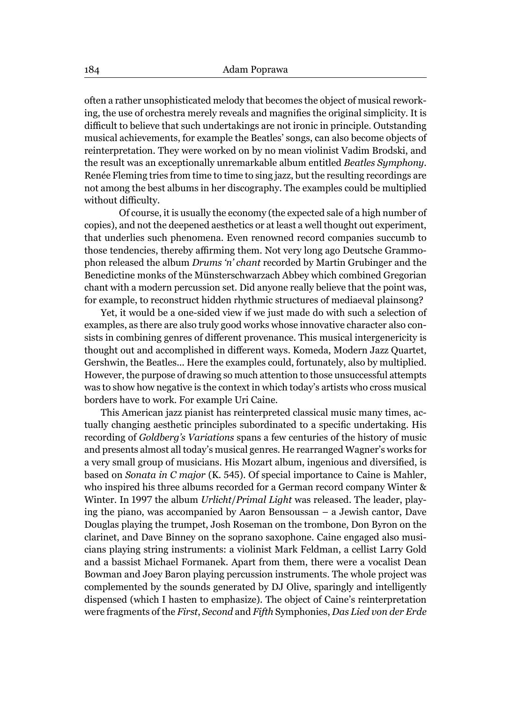often a rather unsophisticated melody that becomes the object of musical reworking, the use of orchestra merely reveals and magnifies the original simplicity. It is difficult to believe that such undertakings are not ironic in principle. Outstanding musical achievements, for example the Beatles' songs, can also become objects of reinterpretation. They were worked on by no mean violinist Vadim Brodski, and the result was an exceptionally unremarkable album entitled *Beatles Symphony*. Renée Fleming tries from time to time to sing jazz, but the resulting recordings are not among the best albums in her discography. The examples could be multiplied without difficulty.

 Of course, it is usually the economy (the expected sale of a high number of copies), and not the deepened aesthetics or at least a well thought out experiment, that underlies such phenomena. Even renowned record companies succumb to those tendencies, thereby affirming them. Not very long ago Deutsche Grammophon released the album *Drums 'n' chant* recorded by Martin Grubinger and the Benedictine monks of the Münsterschwarzach Abbey which combined Gregorian chant with a modern percussion set. Did anyone really believe that the point was, for example, to reconstruct hidden rhythmic structures of mediaeval plainsong?

Yet, it would be a one-sided view if we just made do with such a selection of examples, as there are also truly good works whose innovative character also consists in combining genres of different provenance. This musical intergenericity is thought out and accomplished in different ways. Komeda, Modern Jazz Quartet, Gershwin, the Beatles... Here the examples could, fortunately, also by multiplied. However, the purpose of drawing so much attention to those unsuccessful attempts was to show how negative is the context in which today's artists who cross musical borders have to work. For example Uri Caine.

This American jazz pianist has reinterpreted classical music many times, actually changing aesthetic principles subordinated to a specific undertaking. His recording of *Goldberg's Variations* spans a few centuries of the history of music and presents almost all today's musical genres. He rearranged Wagner's works for a very small group of musicians. His Mozart album, ingenious and diversified, is based on *Sonata in C major* (K. 545). Of special importance to Caine is Mahler, who inspired his three albums recorded for a German record company Winter & Winter. In 1997 the album *Urlicht*/*Primal Light* was released. The leader, playing the piano, was accompanied by Aaron Bensoussan – a Jewish cantor, Dave Douglas playing the trumpet, Josh Roseman on the trombone, Don Byron on the clarinet, and Dave Binney on the soprano saxophone. Caine engaged also musicians playing string instruments: a violinist Mark Feldman, a cellist Larry Gold and a bassist Michael Formanek. Apart from them, there were a vocalist Dean Bowman and Joey Baron playing percussion instruments. The whole project was complemented by the sounds generated by DJ Olive, sparingly and intelligently dispensed (which I hasten to emphasize). The object of Caine's reinterpretation were fragments of the *First*, *Second* and *Fifth* Symphonies, *Das Lied von der Erde*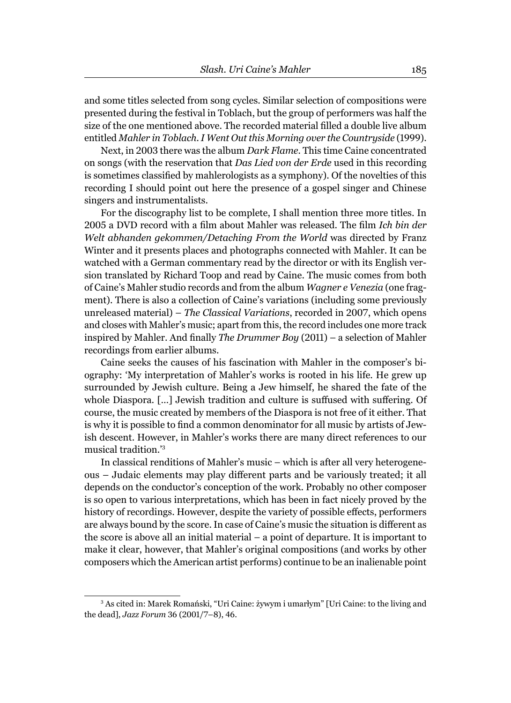and some titles selected from song cycles. Similar selection of compositions were presented during the festival in Toblach, but the group of performers was half the size of the one mentioned above. The recorded material filled a double live album entitled *Mahler in Toblach. I Went Out this Morning over the Countryside* (1999).

Next, in 2003 there was the album *Dark Flame.* This time Caine concentrated on songs (with the reservation that *Das Lied von der Erde* used in this recording is sometimes classified by mahlerologists as a symphony). Of the novelties of this recording I should point out here the presence of a gospel singer and Chinese singers and instrumentalists.

For the discography list to be complete, I shall mention three more titles. In 2005 a DVD record with a film about Mahler was released. The film *Ich bin der Welt abhanden gekommen/Detaching From the World* was directed by Franz Winter and it presents places and photographs connected with Mahler. It can be watched with a German commentary read by the director or with its English version translated by Richard Toop and read by Caine. The music comes from both of Caine's Mahler studio records and from the album *Wagner e Venezia* (one fragment). There is also a collection of Caine's variations (including some previously unreleased material) – *The Classical Variations*, recorded in 2007, which opens and closes with Mahler's music; apart from this, the record includes one more track inspired by Mahler. And finally *The Drummer Boy* (2011) – a selection of Mahler recordings from earlier albums.

Caine seeks the causes of his fascination with Mahler in the composer's biography: 'My interpretation of Mahler's works is rooted in his life. He grew up surrounded by Jewish culture. Being a Jew himself, he shared the fate of the whole Diaspora.  $[\ldots]$  Jewish tradition and culture is suffused with suffering. Of course, the music created by members of the Diaspora is not free of it either. That is why it is possible to find a common denominator for all music by artists of Jewish descent. However, in Mahler's works there are many direct references to our musical tradition.'<sup>3</sup>

In classical renditions of Mahler's music – which is after all very heterogeneous - Judaic elements may play different parts and be variously treated; it all depends on the conductor's conception of the work. Probably no other composer is so open to various interpretations, which has been in fact nicely proved by the history of recordings. However, despite the variety of possible effects, performers are always bound by the score. In case of Caine's music the situation is different as the score is above all an initial material – a point of departure. It is important to make it clear, however, that Mahler's original compositions (and works by other composers which the American artist performs) continue to be an inalienable point

<sup>3</sup> As cited in: Marek Romański, "Uri Caine: żywym i umarłym" [Uri Caine: to the living and the dead], *Jazz Forum* 36 (2001/7–8), 46.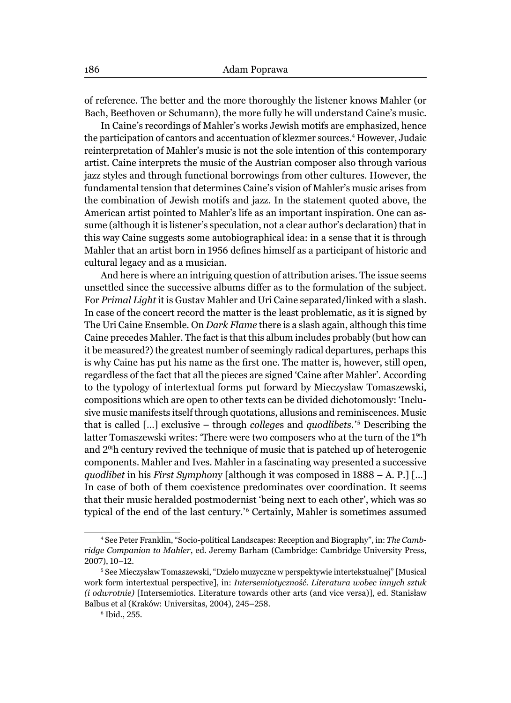of reference. The better and the more thoroughly the listener knows Mahler (or Bach, Beethoven or Schumann), the more fully he will understand Caine's music.

In Caine's recordings of Mahler's works Jewish motifs are emphasized, hence the participation of cantors and accentuation of klezmer sources.<sup>4</sup> However, Judaic reinterpretation of Mahler's music is not the sole intention of this contemporary artist. Caine interprets the music of the Austrian composer also through various jazz styles and through functional borrowings from other cultures. However, the fundamental tension that determines Caine's vision of Mahler's music arises from the combination of Jewish motifs and jazz. In the statement quoted above, the American artist pointed to Mahler's life as an important inspiration. One can assume (although it is listener's speculation, not a clear author's declaration) that in this way Caine suggests some autobiographical idea: in a sense that it is through Mahler that an artist born in 1956 defines himself as a participant of historic and cultural legacy and as a musician.

And here is where an intriguing question of attribution arises. The issue seems unsettled since the successive albums differ as to the formulation of the subject. For *Primal Light* it is Gustav Mahler and Uri Caine separated/linked with a slash. In case of the concert record the matter is the least problematic, as it is signed by The Uri Caine Ensemble. On *Dark Flame* there is a slash again, although this time Caine precedes Mahler. The fact is that this album includes probably (but how can it be measured?) the greatest number of seemingly radical departures, perhaps this is why Caine has put his name as the first one. The matter is, however, still open, regardless of the fact that all the pieces are signed 'Caine after Mahler'. According to the typology of intertextual forms put forward by Mieczysław Tomaszewski, compositions which are open to other texts can be divided dichotomously: 'Inclusive music manifests itself through quotations, allusions and reminiscences. Music that is called [...] exclusive – through *colleges* and *quodlibets*.<sup>'5</sup> Describing the latter Tomaszewski writes: 'There were two composers who at the turn of the 1°'h and 20<sup>t</sup> h century revived the technique of music that is patched up of heterogenic components. Mahler and Ives. Mahler in a fascinating way presented a successive *quodlibet* in his *First Symphon*y [although it was composed in 1888 – A. P.] […] In case of both of them coexistence predominates over coordination. It seems that their music heralded postmodernist 'being next to each other', which was so typical of the end of the last century.'<sup>6</sup> Certainly, Mahler is sometimes assumed

<sup>4</sup> See Peter Franklin, "Socio-political Landscapes: Reception and Biography", in: *The Cambridge Companion to Mahler*, ed. Jeremy Barham (Cambridge: Cambridge University Press, 2007), 10–12.

<sup>5</sup> See Mieczysław Tomaszewski, "Dzieło muzyczne w perspektywie intertekstualnej" [Musical work form intertextual perspective], in: *Intersemiotyczność. Literatura wobec innych sztuk (i odwrotnie)* [Intersemiotics. Literature towards other arts (and vice versa)], ed. Stanisław Balbus et al (Kraków: Universitas, 2004), 245–258.

<sup>6</sup> Ibid*.*, 255.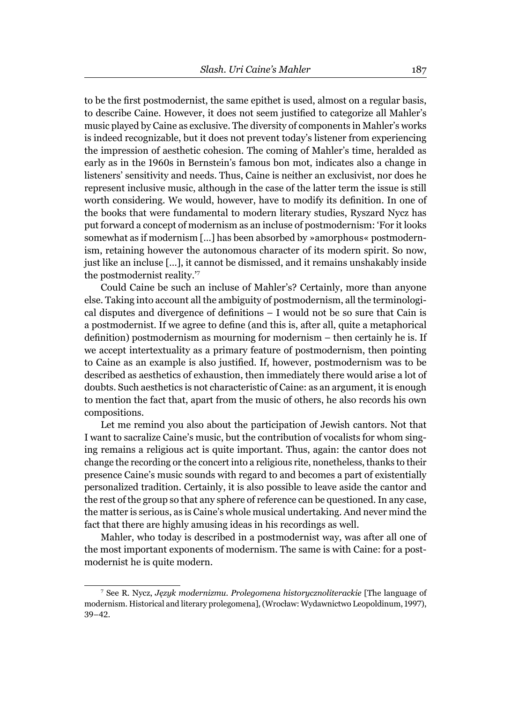to be the first postmodernist, the same epithet is used, almost on a regular basis, to describe Caine. However, it does not seem justified to categorize all Mahler's music played by Caine as exclusive. The diversity of components in Mahler's works is indeed recognizable, but it does not prevent today's listener from experiencing the impression of aesthetic cohesion. The coming of Mahler's time, heralded as early as in the 1960s in Bernstein's famous bon mot, indicates also a change in listeners' sensitivity and needs. Thus, Caine is neither an exclusivist, nor does he represent inclusive music, although in the case of the latter term the issue is still worth considering. We would, however, have to modify its definition. In one of the books that were fundamental to modern literary studies, Ryszard Nycz has put forward a concept of modernism as an incluse of postmodernism: 'For it looks somewhat as if modernism […] has been absorbed by »amorphous« postmodernism, retaining however the autonomous character of its modern spirit. So now, just like an incluse […], it cannot be dismissed, and it remains unshakably inside the postmodernist reality.'<sup>7</sup>

Could Caine be such an incluse of Mahler's? Certainly, more than anyone else. Taking into account all the ambiguity of postmodernism, all the terminological disputes and divergence of definitions  $- I$  would not be so sure that Cain is a postmodernist. If we agree to define (and this is, after all, quite a metaphorical definition) postmodernism as mourning for modernism  $-$  then certainly he is. If we accept intertextuality as a primary feature of postmodernism, then pointing to Caine as an example is also justified. If, however, postmodernism was to be described as aesthetics of exhaustion, then immediately there would arise a lot of doubts. Such aesthetics is not characteristic of Caine: as an argument, it is enough to mention the fact that, apart from the music of others, he also records his own compositions.

Let me remind you also about the participation of Jewish cantors. Not that I want to sacralize Caine's music, but the contribution of vocalists for whom singing remains a religious act is quite important. Thus, again: the cantor does not change the recording or the concert into a religious rite, nonetheless, thanks to their presence Caine's music sounds with regard to and becomes a part of existentially personalized tradition. Certainly, it is also possible to leave aside the cantor and the rest of the group so that any sphere of reference can be questioned. In any case, the matter is serious, as is Caine's whole musical undertaking. And never mind the fact that there are highly amusing ideas in his recordings as well.

Mahler, who today is described in a postmodernist way, was after all one of the most important exponents of modernism. The same is with Caine: for a postmodernist he is quite modern.

<sup>7</sup> See R. Nycz, *Język modernizmu. Prolegomena historycznoliterackie* [The language of modernism. Historical and literary prolegomena], (Wrocław: Wydawnictwo Leopoldinum, 1997), 39–42.